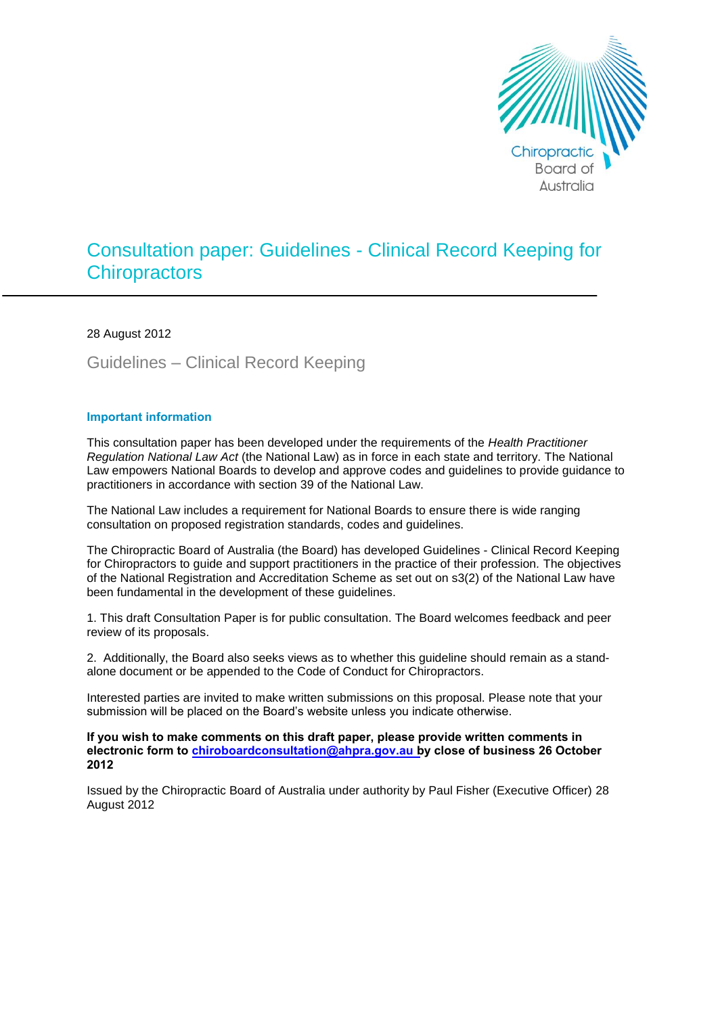

# Consultation paper: Guidelines - Clinical Record Keeping for **Chiropractors**

28 August 2012

Guidelines – Clinical Record Keeping

#### **Important information**

This consultation paper has been developed under the requirements of the *Health Practitioner Regulation National Law Act* (the National Law) as in force in each state and territory. The National Law empowers National Boards to develop and approve codes and guidelines to provide guidance to practitioners in accordance with section 39 of the National Law.

The National Law includes a requirement for National Boards to ensure there is wide ranging consultation on proposed registration standards, codes and guidelines.

The Chiropractic Board of Australia (the Board) has developed Guidelines - Clinical Record Keeping for Chiropractors to guide and support practitioners in the practice of their profession*.* The objectives of the National Registration and Accreditation Scheme as set out on s3(2) of the National Law have been fundamental in the development of these guidelines.

1. This draft Consultation Paper is for public consultation. The Board welcomes feedback and peer review of its proposals.

2. Additionally, the Board also seeks views as to whether this guideline should remain as a standalone document or be appended to the Code of Conduct for Chiropractors.

Interested parties are invited to make written submissions on this proposal. Please note that your submission will be placed on the Board's website unless you indicate otherwise.

**If you wish to make comments on this draft paper, please provide written comments in electronic form to [chiroboardconsultation@ahpra.gov.au b](mailto:chiroboardconsultations@ahpra.gov.au)y close of business 26 October 2012**

Issued by the Chiropractic Board of Australia under authority by Paul Fisher (Executive Officer) 28 August 2012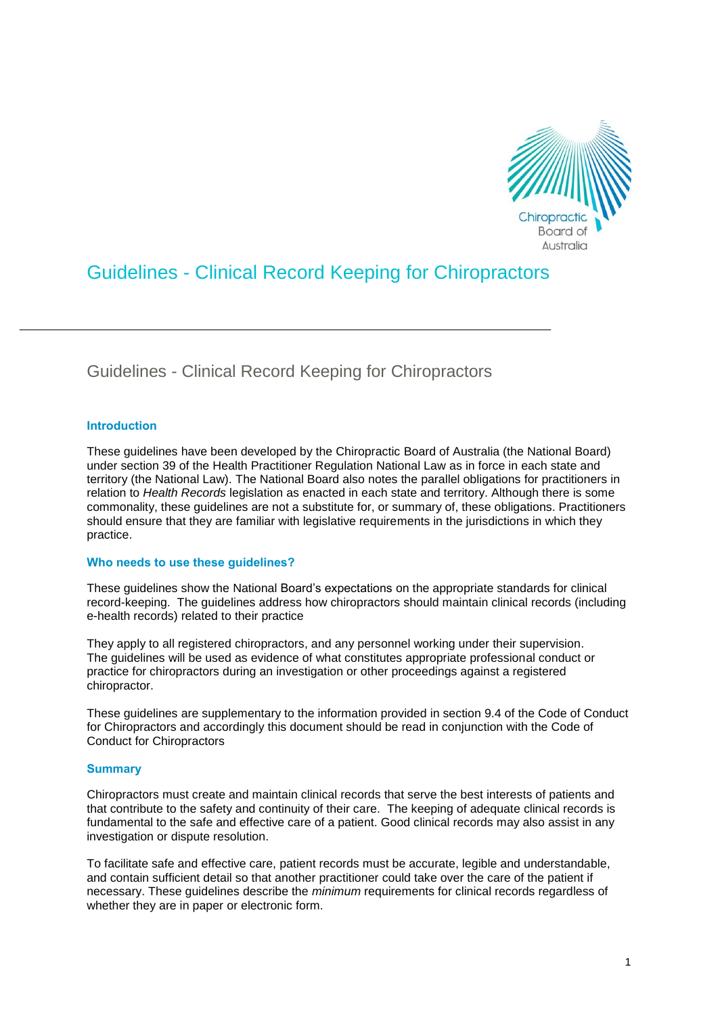

## Guidelines - Clinical Record Keeping for Chiropractors

Guidelines - Clinical Record Keeping for Chiropractors

## **Introduction**

These guidelines have been developed by the Chiropractic Board of Australia (the National Board) under section 39 of the Health Practitioner Regulation National Law as in force in each state and territory (the National Law). The National Board also notes the parallel obligations for practitioners in relation to *Health Records* legislation as enacted in each state and territory. Although there is some commonality, these guidelines are not a substitute for, or summary of, these obligations. Practitioners should ensure that they are familiar with legislative requirements in the jurisdictions in which they practice.

## **Who needs to use these guidelines?**

These guidelines show the National Board's expectations on the appropriate standards for clinical record-keeping. The guidelines address how chiropractors should maintain clinical records (including e-health records) related to their practice

They apply to all registered chiropractors, and any personnel working under their supervision. The guidelines will be used as evidence of what constitutes appropriate professional conduct or practice for chiropractors during an investigation or other proceedings against a registered chiropractor.

These guidelines are supplementary to the information provided in section 9.4 of the Code of Conduct for Chiropractors and accordingly this document should be read in conjunction with the Code of Conduct for Chiropractors

## **Summary**

Chiropractors must create and maintain clinical records that serve the best interests of patients and that contribute to the safety and continuity of their care. The keeping of adequate clinical records is fundamental to the safe and effective care of a patient. Good clinical records may also assist in any investigation or dispute resolution.

To facilitate safe and effective care, patient records must be accurate, legible and understandable, and contain sufficient detail so that another practitioner could take over the care of the patient if necessary. These guidelines describe the *minimum* requirements for clinical records regardless of whether they are in paper or electronic form.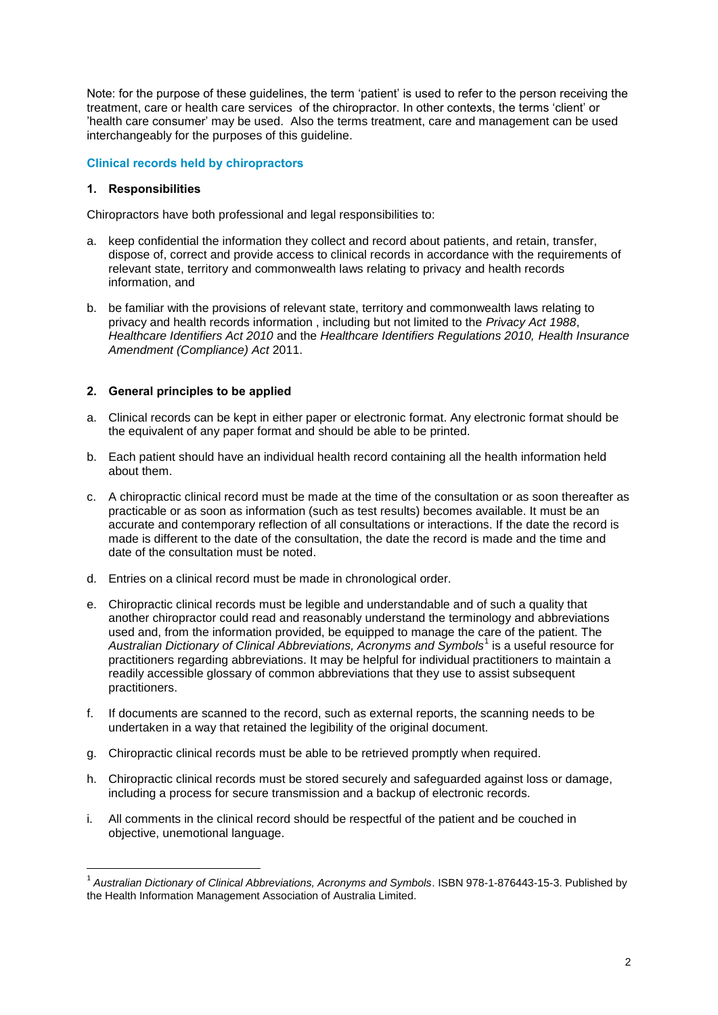Note: for the purpose of these guidelines, the term 'patient' is used to refer to the person receiving the treatment, care or health care services of the chiropractor. In other contexts, the terms 'client' or 'health care consumer' may be used. Also the terms treatment, care and management can be used interchangeably for the purposes of this guideline.

## **Clinical records held by chiropractors**

#### **1. Responsibilities**

1

Chiropractors have both professional and legal responsibilities to:

- a. keep confidential the information they collect and record about patients, and retain, transfer, dispose of, correct and provide access to clinical records in accordance with the requirements of relevant state, territory and commonwealth laws relating to privacy and health records information, and
- b. be familiar with the provisions of relevant state, territory and commonwealth laws relating to privacy and health records information , including but not limited to the *Privacy Act 1988*, *Healthcare Identifiers Act 2010* and the *Healthcare Identifiers Regulations 2010, Health Insurance Amendment (Compliance) Act* 2011.

## **2. General principles to be applied**

- a. Clinical records can be kept in either paper or electronic format. Any electronic format should be the equivalent of any paper format and should be able to be printed.
- b. Each patient should have an individual health record containing all the health information held about them.
- c. A chiropractic clinical record must be made at the time of the consultation or as soon thereafter as practicable or as soon as information (such as test results) becomes available. It must be an accurate and contemporary reflection of all consultations or interactions. If the date the record is made is different to the date of the consultation, the date the record is made and the time and date of the consultation must be noted.
- d. Entries on a clinical record must be made in chronological order.
- e. Chiropractic clinical records must be legible and understandable and of such a quality that another chiropractor could read and reasonably understand the terminology and abbreviations used and, from the information provided, be equipped to manage the care of the patient. The *Australian Dictionary of Clinical Abbreviations, Acronyms and Symbols*<sup>1</sup> is a useful resource for practitioners regarding abbreviations. It may be helpful for individual practitioners to maintain a readily accessible glossary of common abbreviations that they use to assist subsequent practitioners.
- f. If documents are scanned to the record, such as external reports, the scanning needs to be undertaken in a way that retained the legibility of the original document.
- g. Chiropractic clinical records must be able to be retrieved promptly when required.
- h. Chiropractic clinical records must be stored securely and safeguarded against loss or damage, including a process for secure transmission and a backup of electronic records.
- i. All comments in the clinical record should be respectful of the patient and be couched in objective, unemotional language.

<sup>&</sup>lt;sup>1</sup> Australian Dictionary of Clinical Abbreviations, Acronyms and Symbols. ISBN 978-1-876443-15-3. Published by the Health Information Management Association of Australia Limited.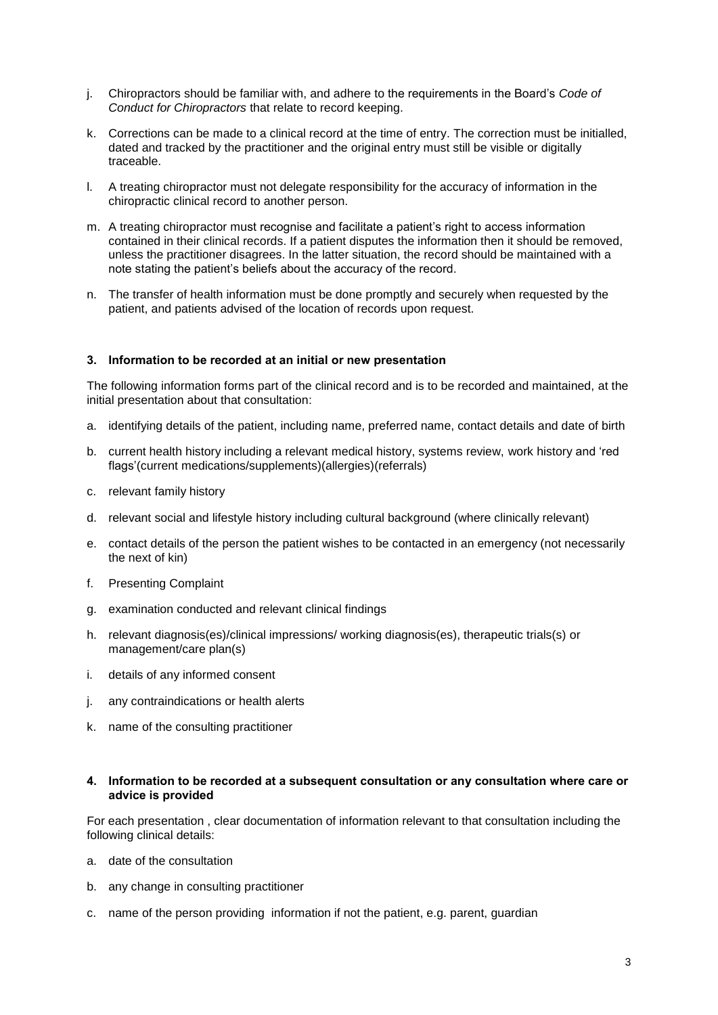- j. Chiropractors should be familiar with, and adhere to the requirements in the Board's *Code of Conduct for Chiropractors* that relate to record keeping.
- k. Corrections can be made to a clinical record at the time of entry. The correction must be initialled, dated and tracked by the practitioner and the original entry must still be visible or digitally traceable.
- l. A treating chiropractor must not delegate responsibility for the accuracy of information in the chiropractic clinical record to another person.
- m. A treating chiropractor must recognise and facilitate a patient's right to access information contained in their clinical records. If a patient disputes the information then it should be removed, unless the practitioner disagrees. In the latter situation, the record should be maintained with a note stating the patient's beliefs about the accuracy of the record.
- n. The transfer of health information must be done promptly and securely when requested by the patient, and patients advised of the location of records upon request.

#### **3. Information to be recorded at an initial or new presentation**

The following information forms part of the clinical record and is to be recorded and maintained, at the initial presentation about that consultation:

- a. identifying details of the patient, including name, preferred name, contact details and date of birth
- b. current health history including a relevant medical history, systems review, work history and 'red flags'(current medications/supplements)(allergies)(referrals)
- c. relevant family history
- d. relevant social and lifestyle history including cultural background (where clinically relevant)
- e. contact details of the person the patient wishes to be contacted in an emergency (not necessarily the next of kin)
- f. Presenting Complaint
- g. examination conducted and relevant clinical findings
- h. relevant diagnosis(es)/clinical impressions/ working diagnosis(es), therapeutic trials(s) or management/care plan(s)
- i. details of any informed consent
- j. any contraindications or health alerts
- k. name of the consulting practitioner

#### **4. Information to be recorded at a subsequent consultation or any consultation where care or advice is provided**

For each presentation , clear documentation of information relevant to that consultation including the following clinical details:

- a. date of the consultation
- b. any change in consulting practitioner
- c. name of the person providing information if not the patient, e.g. parent, guardian